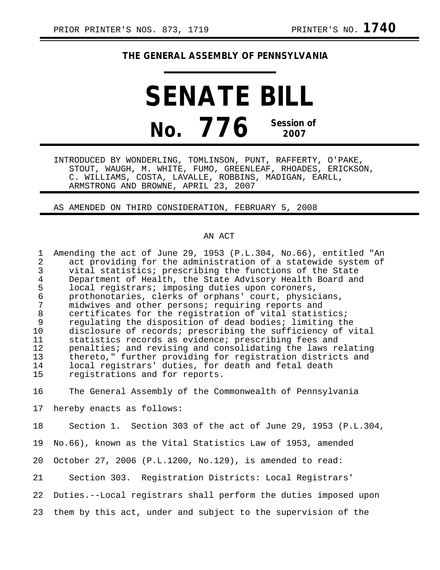## **THE GENERAL ASSEMBLY OF PENNSYLVANIA**

**SENATE BILL No. 776 Session of 2007**

INTRODUCED BY WONDERLING, TOMLINSON, PUNT, RAFFERTY, O'PAKE, STOUT, WAUGH, M. WHITE, FUMO, GREENLEAF, RHOADES, ERICKSON, C. WILLIAMS, COSTA, LAVALLE, ROBBINS, MADIGAN, EARLL, ARMSTRONG AND BROWNE, APRIL 23, 2007

AS AMENDED ON THIRD CONSIDERATION, FEBRUARY 5, 2008

## AN ACT

| $\mathbf 1$<br>2<br>$\mathbf{3}$<br>$\overline{4}$<br>5<br>$\epsilon$  | Amending the act of June 29, 1953 (P.L.304, No.66), entitled "An<br>act providing for the administration of a statewide system of<br>vital statistics; prescribing the functions of the State<br>Department of Health, the State Advisory Health Board and<br>local registrars; imposing duties upon coroners,<br>prothonotaries, clerks of orphans' court, physicians,                                                                                                                                             |
|------------------------------------------------------------------------|---------------------------------------------------------------------------------------------------------------------------------------------------------------------------------------------------------------------------------------------------------------------------------------------------------------------------------------------------------------------------------------------------------------------------------------------------------------------------------------------------------------------|
| $\overline{7}$<br>8<br>$\mathsf 9$<br>10<br>11<br>12<br>13<br>14<br>15 | midwives and other persons; requiring reports and<br>certificates for the registration of vital statistics;<br>regulating the disposition of dead bodies; limiting the<br>disclosure of records; prescribing the sufficiency of vital<br>statistics records as evidence; prescribing fees and<br>penalties; and revising and consolidating the laws relating<br>thereto," further providing for registration districts and<br>local registrars' duties, for death and fetal death<br>registrations and for reports. |
| 16                                                                     | The General Assembly of the Commonwealth of Pennsylvania                                                                                                                                                                                                                                                                                                                                                                                                                                                            |
| 17                                                                     | hereby enacts as follows:                                                                                                                                                                                                                                                                                                                                                                                                                                                                                           |
| 18                                                                     | Section 1. Section 303 of the act of June 29, 1953 (P.L.304,                                                                                                                                                                                                                                                                                                                                                                                                                                                        |
| 19                                                                     | No.66), known as the Vital Statistics Law of 1953, amended                                                                                                                                                                                                                                                                                                                                                                                                                                                          |
| 20                                                                     | October 27, 2006 (P.L.1200, No.129), is amended to read:                                                                                                                                                                                                                                                                                                                                                                                                                                                            |

21 Section 303. Registration Districts: Local Registrars'

22 Duties.--Local registrars shall perform the duties imposed upon

23 them by this act, under and subject to the supervision of the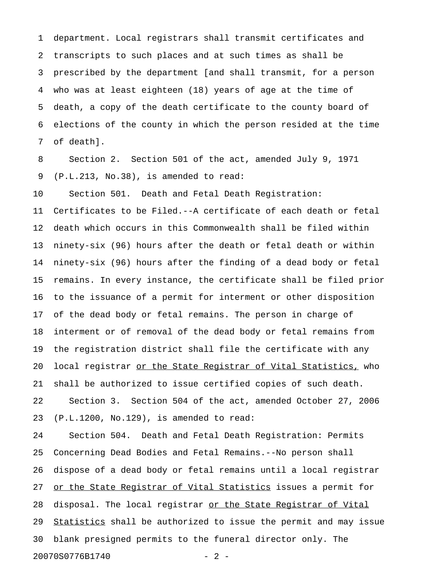1 department. Local registrars shall transmit certificates and 2 transcripts to such places and at such times as shall be 3 prescribed by the department [and shall transmit, for a person 4 who was at least eighteen (18) years of age at the time of 5 death, a copy of the death certificate to the county board of 6 elections of the county in which the person resided at the time 7 of death].

8 Section 2. Section 501 of the act, amended July 9, 1971 9 (P.L.213, No.38), is amended to read:

10 Section 501. Death and Fetal Death Registration:

11 Certificates to be Filed.--A certificate of each death or fetal 12 death which occurs in this Commonwealth shall be filed within 13 ninety-six (96) hours after the death or fetal death or within 14 ninety-six (96) hours after the finding of a dead body or fetal 15 remains. In every instance, the certificate shall be filed prior 16 to the issuance of a permit for interment or other disposition 17 of the dead body or fetal remains. The person in charge of 18 interment or of removal of the dead body or fetal remains from 19 the registration district shall file the certificate with any 20 local registrar <u>or the State Registrar of Vital Statistics,</u> who 21 shall be authorized to issue certified copies of such death. 22 Section 3. Section 504 of the act, amended October 27, 2006 23 (P.L.1200, No.129), is amended to read:

24 Section 504. Death and Fetal Death Registration: Permits 25 Concerning Dead Bodies and Fetal Remains.--No person shall 26 dispose of a dead body or fetal remains until a local registrar 27 or the State Registrar of Vital Statistics issues a permit for 28 disposal. The local registrar or the State Registrar of Vital 29 Statistics shall be authorized to issue the permit and may issue 30 blank presigned permits to the funeral director only. The 20070S0776B1740 - 2 -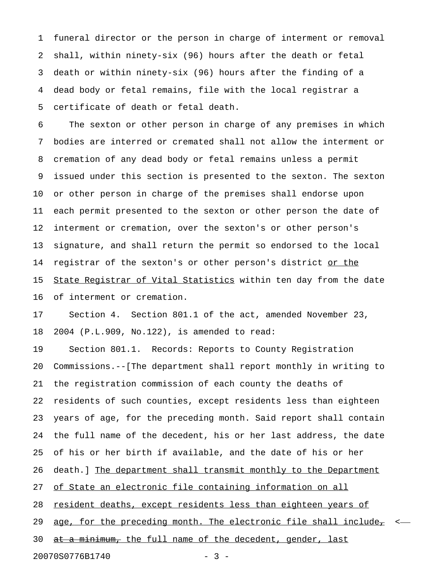1 funeral director or the person in charge of interment or removal 2 shall, within ninety-six (96) hours after the death or fetal 3 death or within ninety-six (96) hours after the finding of a 4 dead body or fetal remains, file with the local registrar a 5 certificate of death or fetal death.

6 The sexton or other person in charge of any premises in which 7 bodies are interred or cremated shall not allow the interment or 8 cremation of any dead body or fetal remains unless a permit 9 issued under this section is presented to the sexton. The sexton 10 or other person in charge of the premises shall endorse upon 11 each permit presented to the sexton or other person the date of 12 interment or cremation, over the sexton's or other person's 13 signature, and shall return the permit so endorsed to the local 14 registrar of the sexton's or other person's district or the 15 State Registrar of Vital Statistics within ten day from the date 16 of interment or cremation.

17 Section 4. Section 801.1 of the act, amended November 23, 18 2004 (P.L.909, No.122), is amended to read:

19 Section 801.1. Records: Reports to County Registration 20 Commissions.--[The department shall report monthly in writing to 21 the registration commission of each county the deaths of 22 residents of such counties, except residents less than eighteen 23 years of age, for the preceding month. Said report shall contain 24 the full name of the decedent, his or her last address, the date 25 of his or her birth if available, and the date of his or her 26 death.] The department shall transmit monthly to the Department 27 of State an electronic file containing information on all 28 resident deaths, except residents less than eighteen years of 29 age, for the preceding month. The electronic file shall include $\tau$ 30  $at$  a  $minimum_t$ , the full name of the decedent, gender, last

20070S0776B1740 - 3 -